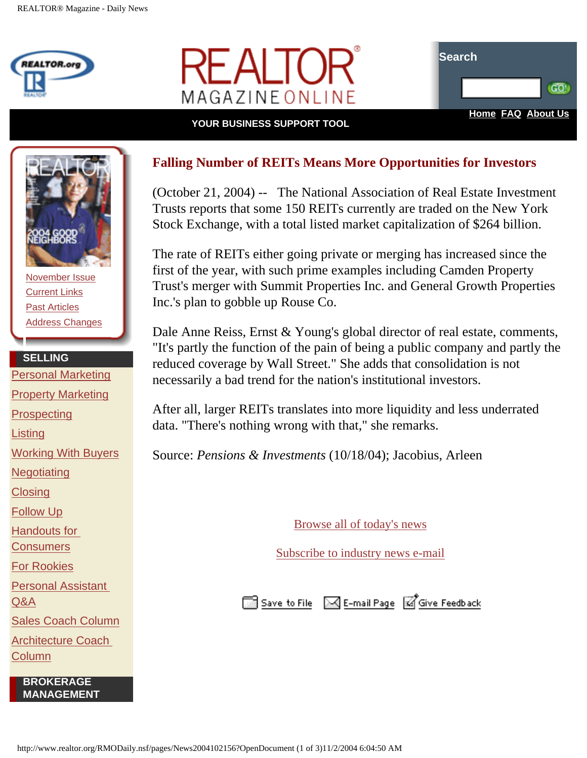



**YOUR BUSINESS SUPPORT TOOL** 



[November Issue](http://www.realtor.org/rmomag.NSF/pages/tocprintNov04?OpenDocument) [Current Links](http://www.realtor.org/rmomag.NSF/pages/currentlinksNov04?OpenDocument) [Past Articles](http://www.realtor.org/rmomag.nsf/AllIssDt?OpenView) [Address Changes](http://www.realtor.org/rmodaily.nsf/pages/aboutussubscriptions?OpenDocument)

## **SELLING**

[Personal Marketing](http://www.realtor.org/rmotoolkits.nsf/pages/permarkmain?OpenDocument&ExpandView&count=1000) [Property Marketing](http://www.realtor.org/rmotoolkits.nsf/pages/propmarkmain?OpenDocument&ExpandView&count=1000) **[Prospecting](http://www.realtor.org/rmotoolkits.nsf/pages/prospectmain?OpenDocument&ExpandView&count=1000) [Listing](http://www.realtor.org/rmotoolkits.nsf/pages/listingsmain?OpenDocument&ExpandView&count=1000)** [Working With Buyers](http://www.realtor.org/rmotoolkits.nsf/pages/buyermain?OpenDocument&ExpandView&count=1000) **[Negotiating](http://www.realtor.org/rmotoolkits.nsf/pages/Negotiationmain?OpenDocument&ExpandView&count=1000) [Closing](http://www.realtor.org/rmotoolkits.nsf/pages/closingmain?OpenDocument&ExpandView&count=1000)** [Follow Up](http://www.realtor.org/rmotoolkits.nsf/pages/FollowUpMain?OpenDocument&ExpandView&count=1000) [Handouts for](http://www.realtor.org/rmotoolkits.nsf/pages/consumermain?OpenDocument&ExpandView&count=1000)  **[Consumers](http://www.realtor.org/rmotoolkits.nsf/pages/consumermain?OpenDocument&ExpandView&count=1000)** [For Rookies](http://www.realtor.org/rmotoolkits.nsf/pages/rookiesmain_new?OpenDocument&Start=1&Count=1000) [Personal Assistant](http://www.realtor.org/rmoadvisors.nsf/contentPages/Personal%20Assistant%20Advisor?OpenDocument&RestrictToCategory=Personal%20Assistant%20Advisor) [Q&A](http://www.realtor.org/rmoadvisors.nsf/contentPages/Personal%20Assistant%20Advisor?OpenDocument&RestrictToCategory=Personal%20Assistant%20Advisor) [Sales Coach Column](http://www.realtor.org/rmomag.NSF/pages/slscoach?OpenDocument)

[Architecture Coach](http://www.realtor.org/rmomag.NSF/pages/archcoach?OpenDocument) [Column](http://www.realtor.org/rmomag.NSF/pages/archcoach?OpenDocument)

> **BROKERAGE MANAGEMENT**

## **Falling Number of REITs Means More Opportunities for Investors**

(October 21, 2004) -- The National Association of Real Estate Investment Trusts reports that some 150 REITs currently are traded on the New York Stock Exchange, with a total listed market capitalization of \$264 billion.

The rate of REITs either going private or merging has increased since the first of the year, with such prime examples including Camden Property Trust's merger with Summit Properties Inc. and General Growth Properties Inc.'s plan to gobble up Rouse Co.

Dale Anne Reiss, Ernst & Young's global director of real estate, comments, "It's partly the function of the pain of being a public company and partly the reduced coverage by Wall Street." She adds that consolidation is not necessarily a bad trend for the nation's institutional investors.

After all, larger REITs translates into more liquidity and less underrated data. "There's nothing wrong with that," she remarks.

Source: *Pensions & Investments* (10/18/04); Jacobius, Arleen

[Browse all of today's news](http://www.realtor.org/rmodaily.nsf/topstories/topstories)

[Subscribe to industry news e-mail](http://www.realtor.org/roreg.nsf/emailprofile?OpenForm#RMONews)

Save to File M E-mail Page **M** Give Feedback